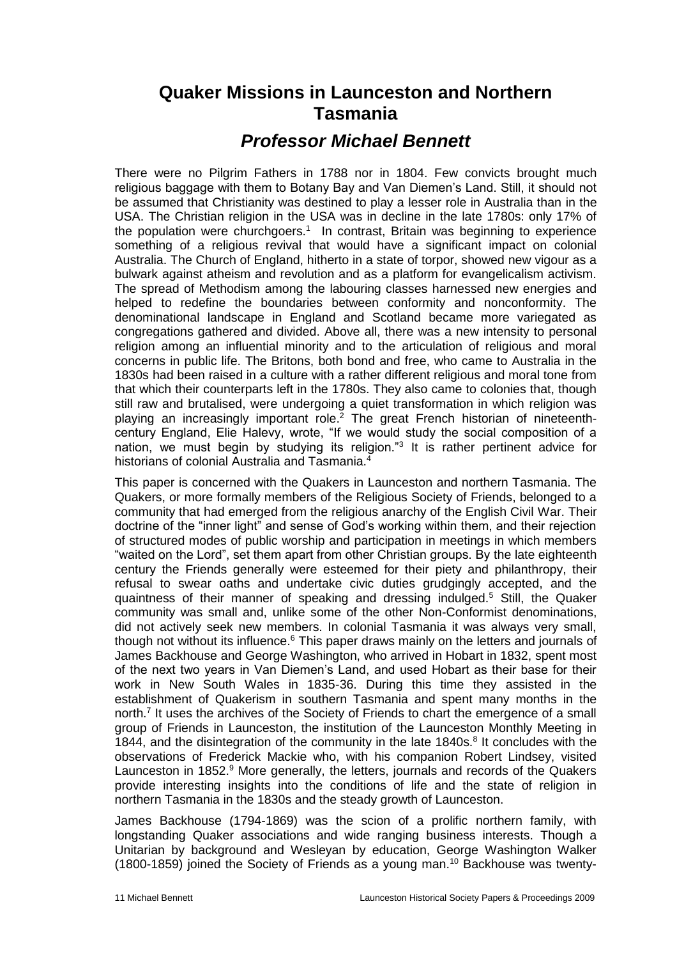## **Quaker Missions in Launceston and Northern Tasmania**

## *Professor Michael Bennett*

There were no Pilgrim Fathers in 1788 nor in 1804. Few convicts brought much religious baggage with them to Botany Bay and Van Diemen's Land. Still, it should not be assumed that Christianity was destined to play a lesser role in Australia than in the USA. The Christian religion in the USA was in decline in the late 1780s: only 17% of the population were churchgoers.<sup>1</sup> In contrast, Britain was beginning to experience something of a religious revival that would have a significant impact on colonial Australia. The Church of England, hitherto in a state of torpor, showed new vigour as a bulwark against atheism and revolution and as a platform for evangelicalism activism. The spread of Methodism among the labouring classes harnessed new energies and helped to redefine the boundaries between conformity and nonconformity. The denominational landscape in England and Scotland became more variegated as congregations gathered and divided. Above all, there was a new intensity to personal religion among an influential minority and to the articulation of religious and moral concerns in public life. The Britons, both bond and free, who came to Australia in the 1830s had been raised in a culture with a rather different religious and moral tone from that which their counterparts left in the 1780s. They also came to colonies that, though still raw and brutalised, were undergoing a quiet transformation in which religion was playing an increasingly important role.<sup>2</sup> The great French historian of nineteenthcentury England, Elie Halevy, wrote, "If we would study the social composition of a nation, we must begin by studying its religion."<sup>3</sup> It is rather pertinent advice for historians of colonial Australia and Tasmania.<sup>4</sup>

This paper is concerned with the Quakers in Launceston and northern Tasmania. The Quakers, or more formally members of the Religious Society of Friends, belonged to a community that had emerged from the religious anarchy of the English Civil War. Their doctrine of the "inner light" and sense of God's working within them, and their rejection of structured modes of public worship and participation in meetings in which members "waited on the Lord", set them apart from other Christian groups. By the late eighteenth century the Friends generally were esteemed for their piety and philanthropy, their refusal to swear oaths and undertake civic duties grudgingly accepted, and the quaintness of their manner of speaking and dressing indulged.<sup>5</sup> Still, the Quaker community was small and, unlike some of the other Non-Conformist denominations, did not actively seek new members. In colonial Tasmania it was always very small, though not without its influence.<sup>6</sup> This paper draws mainly on the letters and journals of James Backhouse and George Washington, who arrived in Hobart in 1832, spent most of the next two years in Van Diemen's Land, and used Hobart as their base for their work in New South Wales in 1835-36. During this time they assisted in the establishment of Quakerism in southern Tasmania and spent many months in the north.<sup>7</sup> It uses the archives of the Society of Friends to chart the emergence of a small group of Friends in Launceston, the institution of the Launceston Monthly Meeting in 1844, and the disintegration of the community in the late  $1840s$ .<sup>8</sup> It concludes with the observations of Frederick Mackie who, with his companion Robert Lindsey, visited Launceston in 1852.<sup>9</sup> More generally, the letters, journals and records of the Quakers provide interesting insights into the conditions of life and the state of religion in northern Tasmania in the 1830s and the steady growth of Launceston.

James Backhouse (1794-1869) was the scion of a prolific northern family, with longstanding Quaker associations and wide ranging business interests. Though a Unitarian by background and Wesleyan by education, George Washington Walker (1800-1859) joined the Society of Friends as a young man.<sup>10</sup> Backhouse was twenty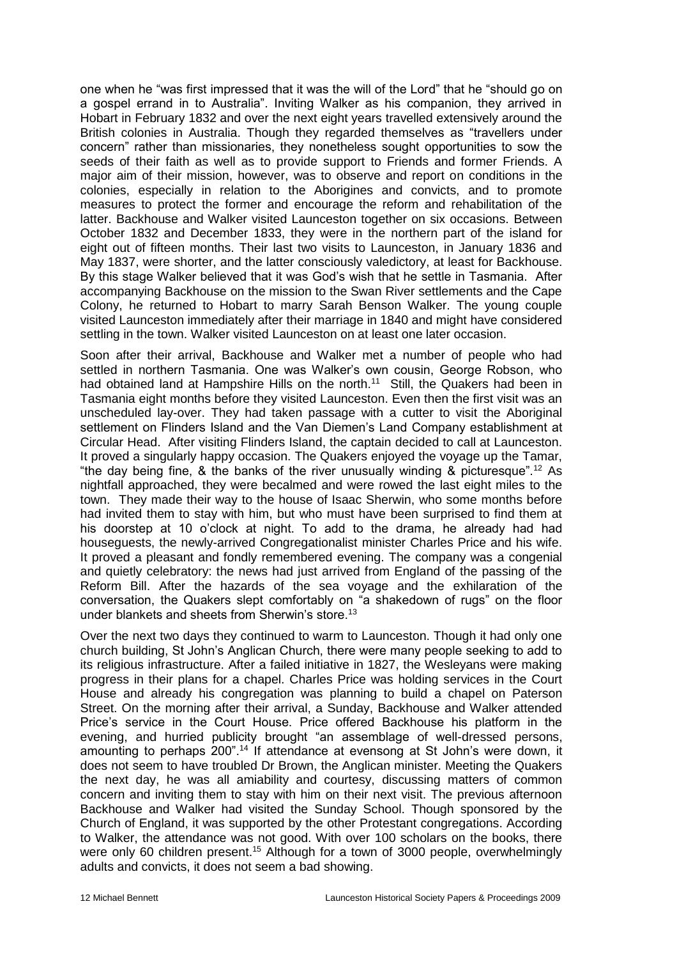one when he "was first impressed that it was the will of the Lord" that he "should go on a gospel errand in to Australia". Inviting Walker as his companion, they arrived in Hobart in February 1832 and over the next eight years travelled extensively around the British colonies in Australia. Though they regarded themselves as "travellers under concern" rather than missionaries, they nonetheless sought opportunities to sow the seeds of their faith as well as to provide support to Friends and former Friends. A major aim of their mission, however, was to observe and report on conditions in the colonies, especially in relation to the Aborigines and convicts, and to promote measures to protect the former and encourage the reform and rehabilitation of the latter. Backhouse and Walker visited Launceston together on six occasions. Between October 1832 and December 1833, they were in the northern part of the island for eight out of fifteen months. Their last two visits to Launceston, in January 1836 and May 1837, were shorter, and the latter consciously valedictory, at least for Backhouse. By this stage Walker believed that it was God's wish that he settle in Tasmania. After accompanying Backhouse on the mission to the Swan River settlements and the Cape Colony, he returned to Hobart to marry Sarah Benson Walker. The young couple visited Launceston immediately after their marriage in 1840 and might have considered settling in the town. Walker visited Launceston on at least one later occasion.

Soon after their arrival, Backhouse and Walker met a number of people who had settled in northern Tasmania. One was Walker's own cousin, George Robson, who had obtained land at Hampshire Hills on the north.<sup>11</sup> Still, the Quakers had been in Tasmania eight months before they visited Launceston. Even then the first visit was an unscheduled lay-over. They had taken passage with a cutter to visit the Aboriginal settlement on Flinders Island and the Van Diemen's Land Company establishment at Circular Head. After visiting Flinders Island, the captain decided to call at Launceston. It proved a singularly happy occasion. The Quakers enjoyed the voyage up the Tamar, "the day being fine, & the banks of the river unusually winding & picturesque".<sup>12</sup> As nightfall approached, they were becalmed and were rowed the last eight miles to the town. They made their way to the house of Isaac Sherwin, who some months before had invited them to stay with him, but who must have been surprised to find them at his doorstep at 10 o'clock at night. To add to the drama, he already had had houseguests, the newly-arrived Congregationalist minister Charles Price and his wife. It proved a pleasant and fondly remembered evening. The company was a congenial and quietly celebratory: the news had just arrived from England of the passing of the Reform Bill. After the hazards of the sea voyage and the exhilaration of the conversation, the Quakers slept comfortably on "a shakedown of rugs" on the floor under blankets and sheets from Sherwin's store.<sup>13</sup>

Over the next two days they continued to warm to Launceston. Though it had only one church building, St John's Anglican Church, there were many people seeking to add to its religious infrastructure. After a failed initiative in 1827, the Wesleyans were making progress in their plans for a chapel. Charles Price was holding services in the Court House and already his congregation was planning to build a chapel on Paterson Street. On the morning after their arrival, a Sunday, Backhouse and Walker attended Price's service in the Court House. Price offered Backhouse his platform in the evening, and hurried publicity brought "an assemblage of well-dressed persons, amounting to perhaps 200".<sup>14</sup> If attendance at evensong at St John's were down, it does not seem to have troubled Dr Brown, the Anglican minister. Meeting the Quakers the next day, he was all amiability and courtesy, discussing matters of common concern and inviting them to stay with him on their next visit. The previous afternoon Backhouse and Walker had visited the Sunday School. Though sponsored by the Church of England, it was supported by the other Protestant congregations. According to Walker, the attendance was not good. With over 100 scholars on the books, there were only 60 children present.<sup>15</sup> Although for a town of 3000 people, overwhelmingly adults and convicts, it does not seem a bad showing.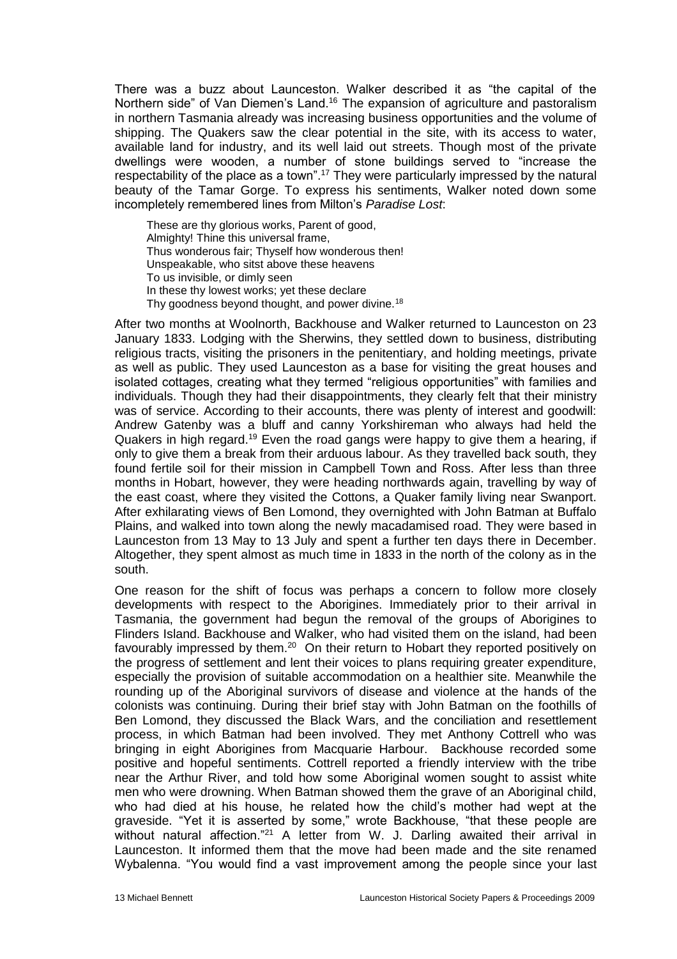There was a buzz about Launceston. Walker described it as "the capital of the Northern side" of Van Diemen's Land.<sup>16</sup> The expansion of agriculture and pastoralism in northern Tasmania already was increasing business opportunities and the volume of shipping. The Quakers saw the clear potential in the site, with its access to water, available land for industry, and its well laid out streets. Though most of the private dwellings were wooden, a number of stone buildings served to "increase the respectability of the place as a town".<sup>17</sup> They were particularly impressed by the natural beauty of the Tamar Gorge. To express his sentiments, Walker noted down some incompletely remembered lines from Milton's *Paradise Lost*:

These are thy glorious works, Parent of good, Almighty! Thine this universal frame, Thus wonderous fair; Thyself how wonderous then! Unspeakable, who sitst above these heavens To us invisible, or dimly seen In these thy lowest works; yet these declare Thy goodness beyond thought, and power divine.<sup>18</sup>

After two months at Woolnorth, Backhouse and Walker returned to Launceston on 23 January 1833. Lodging with the Sherwins, they settled down to business, distributing religious tracts, visiting the prisoners in the penitentiary, and holding meetings, private as well as public. They used Launceston as a base for visiting the great houses and isolated cottages, creating what they termed "religious opportunities" with families and individuals. Though they had their disappointments, they clearly felt that their ministry was of service. According to their accounts, there was plenty of interest and goodwill: Andrew Gatenby was a bluff and canny Yorkshireman who always had held the Quakers in high regard.<sup>19</sup> Even the road gangs were happy to give them a hearing, if only to give them a break from their arduous labour. As they travelled back south, they found fertile soil for their mission in Campbell Town and Ross. After less than three months in Hobart, however, they were heading northwards again, travelling by way of the east coast, where they visited the Cottons, a Quaker family living near Swanport. After exhilarating views of Ben Lomond, they overnighted with John Batman at Buffalo Plains, and walked into town along the newly macadamised road. They were based in Launceston from 13 May to 13 July and spent a further ten days there in December. Altogether, they spent almost as much time in 1833 in the north of the colony as in the south.

One reason for the shift of focus was perhaps a concern to follow more closely developments with respect to the Aborigines. Immediately prior to their arrival in Tasmania, the government had begun the removal of the groups of Aborigines to Flinders Island. Backhouse and Walker, who had visited them on the island, had been favourably impressed by them.<sup>20</sup> On their return to Hobart they reported positively on the progress of settlement and lent their voices to plans requiring greater expenditure, especially the provision of suitable accommodation on a healthier site. Meanwhile the rounding up of the Aboriginal survivors of disease and violence at the hands of the colonists was continuing. During their brief stay with John Batman on the foothills of Ben Lomond, they discussed the Black Wars, and the conciliation and resettlement process, in which Batman had been involved. They met Anthony Cottrell who was bringing in eight Aborigines from Macquarie Harbour. Backhouse recorded some positive and hopeful sentiments. Cottrell reported a friendly interview with the tribe near the Arthur River, and told how some Aboriginal women sought to assist white men who were drowning. When Batman showed them the grave of an Aboriginal child, who had died at his house, he related how the child's mother had wept at the graveside. "Yet it is asserted by some," wrote Backhouse, "that these people are without natural affection."<sup>21</sup> A letter from W. J. Darling awaited their arrival in Launceston. It informed them that the move had been made and the site renamed Wybalenna. "You would find a vast improvement among the people since your last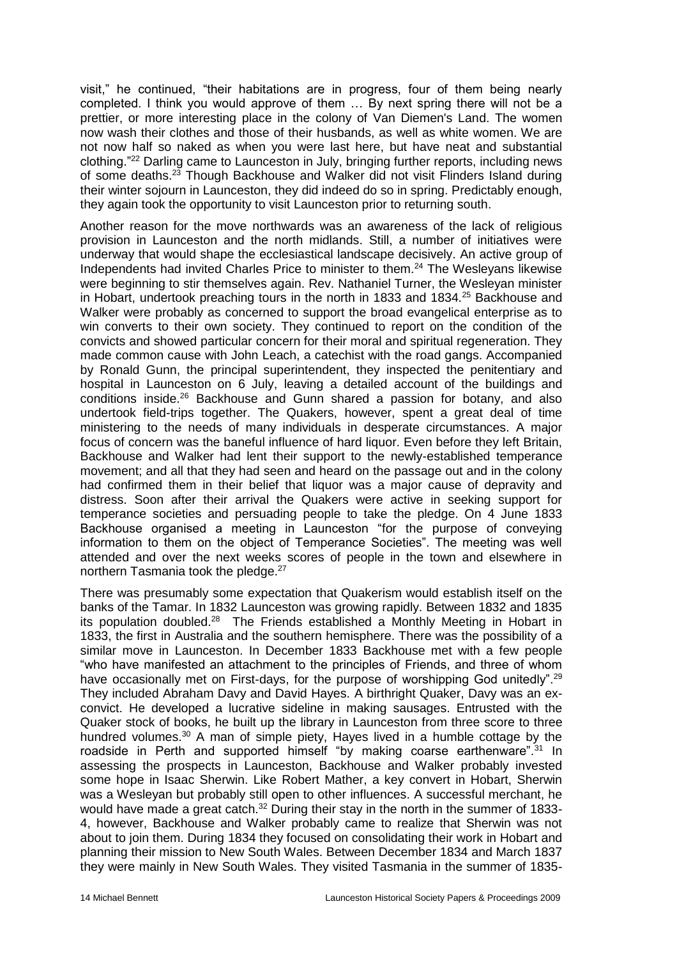visit," he continued, "their habitations are in progress, four of them being nearly completed. I think you would approve of them … By next spring there will not be a prettier, or more interesting place in the colony of Van Diemen's Land. The women now wash their clothes and those of their husbands, as well as white women. We are not now half so naked as when you were last here, but have neat and substantial clothing."<sup>22</sup> Darling came to Launceston in July, bringing further reports, including news of some deaths.<sup>23</sup> Though Backhouse and Walker did not visit Flinders Island during their winter sojourn in Launceston, they did indeed do so in spring. Predictably enough, they again took the opportunity to visit Launceston prior to returning south.

Another reason for the move northwards was an awareness of the lack of religious provision in Launceston and the north midlands. Still, a number of initiatives were underway that would shape the ecclesiastical landscape decisively. An active group of Independents had invited Charles Price to minister to them.<sup>24</sup> The Wesleyans likewise were beginning to stir themselves again. Rev. Nathaniel Turner, the Wesleyan minister in Hobart, undertook preaching tours in the north in 1833 and 1834.<sup>25</sup> Backhouse and Walker were probably as concerned to support the broad evangelical enterprise as to win converts to their own society. They continued to report on the condition of the convicts and showed particular concern for their moral and spiritual regeneration. They made common cause with John Leach, a catechist with the road gangs. Accompanied by Ronald Gunn, the principal superintendent, they inspected the penitentiary and hospital in Launceston on 6 July, leaving a detailed account of the buildings and conditions inside.<sup>26</sup> Backhouse and Gunn shared a passion for botany, and also undertook field-trips together. The Quakers, however, spent a great deal of time ministering to the needs of many individuals in desperate circumstances. A major focus of concern was the baneful influence of hard liquor. Even before they left Britain, Backhouse and Walker had lent their support to the newly-established temperance movement; and all that they had seen and heard on the passage out and in the colony had confirmed them in their belief that liquor was a major cause of depravity and distress. Soon after their arrival the Quakers were active in seeking support for temperance societies and persuading people to take the pledge. On 4 June 1833 Backhouse organised a meeting in Launceston "for the purpose of conveying information to them on the object of Temperance Societies". The meeting was well attended and over the next weeks scores of people in the town and elsewhere in northern Tasmania took the pledge.<sup>27</sup>

There was presumably some expectation that Quakerism would establish itself on the banks of the Tamar. In 1832 Launceston was growing rapidly. Between 1832 and 1835 its population doubled.<sup>28</sup> The Friends established a Monthly Meeting in Hobart in 1833, the first in Australia and the southern hemisphere. There was the possibility of a similar move in Launceston. In December 1833 Backhouse met with a few people "who have manifested an attachment to the principles of Friends, and three of whom have occasionally met on First-days, for the purpose of worshipping God unitedly".<sup>29</sup> They included Abraham Davy and David Hayes. A birthright Quaker, Davy was an exconvict. He developed a lucrative sideline in making sausages. Entrusted with the Quaker stock of books, he built up the library in Launceston from three score to three hundred volumes.<sup>30</sup> A man of simple piety, Hayes lived in a humble cottage by the roadside in Perth and supported himself "by making coarse earthenware".<sup>31</sup> In assessing the prospects in Launceston, Backhouse and Walker probably invested some hope in Isaac Sherwin. Like Robert Mather, a key convert in Hobart, Sherwin was a Wesleyan but probably still open to other influences. A successful merchant, he would have made a great catch. $32$  During their stay in the north in the summer of 1833-4, however, Backhouse and Walker probably came to realize that Sherwin was not about to join them. During 1834 they focused on consolidating their work in Hobart and planning their mission to New South Wales. Between December 1834 and March 1837 they were mainly in New South Wales. They visited Tasmania in the summer of 1835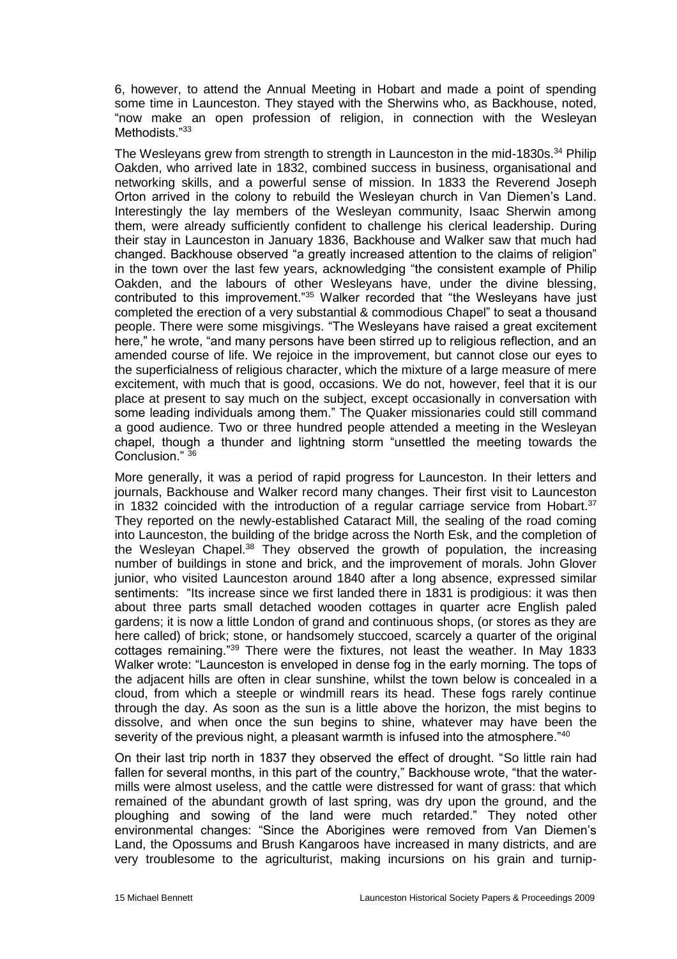6, however, to attend the Annual Meeting in Hobart and made a point of spending some time in Launceston. They stayed with the Sherwins who, as Backhouse, noted, "now make an open profession of religion, in connection with the Wesleyan Methodists."33

The Wesleyans grew from strength to strength in Launceston in the mid-1830s.<sup>34</sup> Philip Oakden, who arrived late in 1832, combined success in business, organisational and networking skills, and a powerful sense of mission. In 1833 the Reverend Joseph Orton arrived in the colony to rebuild the Wesleyan church in Van Diemen's Land. Interestingly the lay members of the Wesleyan community, Isaac Sherwin among them, were already sufficiently confident to challenge his clerical leadership. During their stay in Launceston in January 1836, Backhouse and Walker saw that much had changed. Backhouse observed "a greatly increased attention to the claims of religion" in the town over the last few years, acknowledging "the consistent example of Philip Oakden, and the labours of other Wesleyans have, under the divine blessing, contributed to this improvement."<sup>35</sup> Walker recorded that "the Wesleyans have just completed the erection of a very substantial & commodious Chapel" to seat a thousand people. There were some misgivings. "The Wesleyans have raised a great excitement here," he wrote, "and many persons have been stirred up to religious reflection, and an amended course of life. We rejoice in the improvement, but cannot close our eyes to the superficialness of religious character, which the mixture of a large measure of mere excitement, with much that is good, occasions. We do not, however, feel that it is our place at present to say much on the subject, except occasionally in conversation with some leading individuals among them." The Quaker missionaries could still command a good audience. Two or three hundred people attended a meeting in the Wesleyan chapel, though a thunder and lightning storm "unsettled the meeting towards the Conclusion."  $36$ 

More generally, it was a period of rapid progress for Launceston. In their letters and journals, Backhouse and Walker record many changes. Their first visit to Launceston in 1832 coincided with the introduction of a regular carriage service from Hobart. $37$ They reported on the newly-established Cataract Mill, the sealing of the road coming into Launceston, the building of the bridge across the North Esk, and the completion of the Wesleyan Chapel.<sup>38</sup> They observed the growth of population, the increasing number of buildings in stone and brick, and the improvement of morals. John Glover junior, who visited Launceston around 1840 after a long absence, expressed similar sentiments: "Its increase since we first landed there in 1831 is prodigious: it was then about three parts small detached wooden cottages in quarter acre English paled gardens; it is now a little London of grand and continuous shops, (or stores as they are here called) of brick; stone, or handsomely stuccoed, scarcely a quarter of the original cottages remaining."<sup>39</sup> There were the fixtures, not least the weather. In May 1833 Walker wrote: "Launceston is enveloped in dense fog in the early morning. The tops of the adjacent hills are often in clear sunshine, whilst the town below is concealed in a cloud, from which a steeple or windmill rears its head. These fogs rarely continue through the day. As soon as the sun is a little above the horizon, the mist begins to dissolve, and when once the sun begins to shine, whatever may have been the severity of the previous night, a pleasant warmth is infused into the atmosphere."<sup>40</sup>

On their last trip north in 1837 they observed the effect of drought. "So little rain had fallen for several months, in this part of the country," Backhouse wrote, "that the watermills were almost useless, and the cattle were distressed for want of grass: that which remained of the abundant growth of last spring, was dry upon the ground, and the ploughing and sowing of the land were much retarded." They noted other environmental changes: "Since the Aborigines were removed from Van Diemen's Land, the Opossums and Brush Kangaroos have increased in many districts, and are very troublesome to the agriculturist, making incursions on his grain and turnip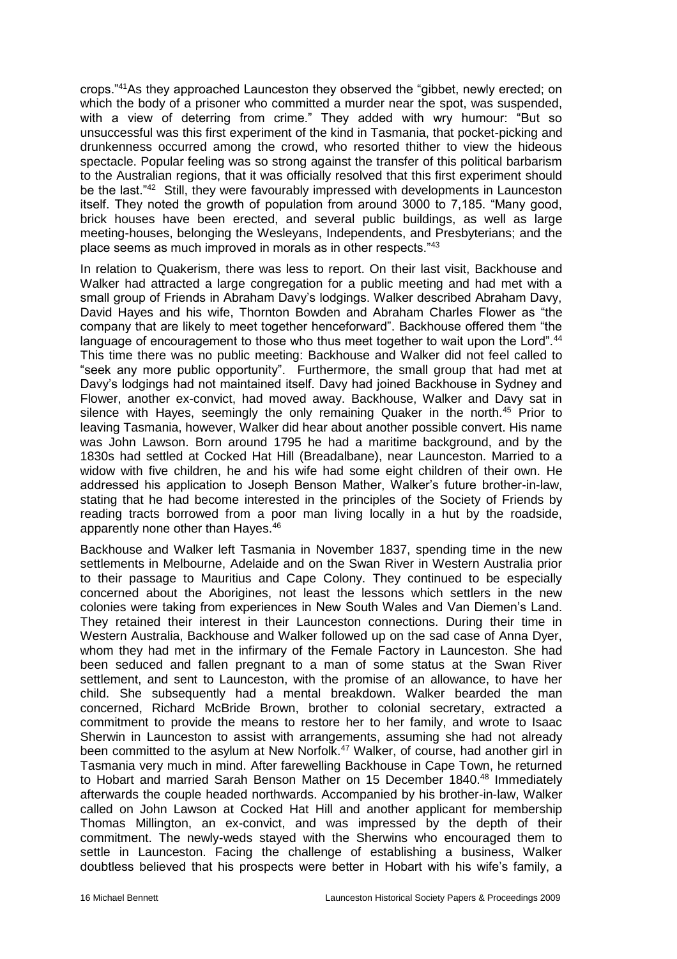crops."<sup>41</sup>As they approached Launceston they observed the "gibbet, newly erected; on which the body of a prisoner who committed a murder near the spot, was suspended, with a view of deterring from crime." They added with wry humour: "But so unsuccessful was this first experiment of the kind in Tasmania, that pocket-picking and drunkenness occurred among the crowd, who resorted thither to view the hideous spectacle. Popular feeling was so strong against the transfer of this political barbarism to the Australian regions, that it was officially resolved that this first experiment should be the last."<sup>42</sup> Still, they were favourably impressed with developments in Launceston itself. They noted the growth of population from around 3000 to 7,185. "Many good, brick houses have been erected, and several public buildings, as well as large meeting-houses, belonging the Wesleyans, Independents, and Presbyterians; and the place seems as much improved in morals as in other respects."<sup>43</sup>

In relation to Quakerism, there was less to report. On their last visit, Backhouse and Walker had attracted a large congregation for a public meeting and had met with a small group of Friends in Abraham Davy's lodgings. Walker described Abraham Davy, David Hayes and his wife, Thornton Bowden and Abraham Charles Flower as "the company that are likely to meet together henceforward". Backhouse offered them "the language of encouragement to those who thus meet together to wait upon the Lord".<sup>44</sup> This time there was no public meeting: Backhouse and Walker did not feel called to "seek any more public opportunity". Furthermore, the small group that had met at Davy's lodgings had not maintained itself. Davy had joined Backhouse in Sydney and Flower, another ex-convict, had moved away. Backhouse, Walker and Davy sat in silence with Hayes, seemingly the only remaining Quaker in the north.<sup>45</sup> Prior to leaving Tasmania, however, Walker did hear about another possible convert. His name was John Lawson. Born around 1795 he had a maritime background, and by the 1830s had settled at Cocked Hat Hill (Breadalbane), near Launceston. Married to a widow with five children, he and his wife had some eight children of their own. He addressed his application to Joseph Benson Mather, Walker's future brother-in-law, stating that he had become interested in the principles of the Society of Friends by reading tracts borrowed from a poor man living locally in a hut by the roadside, apparently none other than Hayes.<sup>46</sup>

Backhouse and Walker left Tasmania in November 1837, spending time in the new settlements in Melbourne, Adelaide and on the Swan River in Western Australia prior to their passage to Mauritius and Cape Colony. They continued to be especially concerned about the Aborigines, not least the lessons which settlers in the new colonies were taking from experiences in New South Wales and Van Diemen's Land. They retained their interest in their Launceston connections. During their time in Western Australia, Backhouse and Walker followed up on the sad case of Anna Dyer, whom they had met in the infirmary of the Female Factory in Launceston. She had been seduced and fallen pregnant to a man of some status at the Swan River settlement, and sent to Launceston, with the promise of an allowance, to have her child. She subsequently had a mental breakdown. Walker bearded the man concerned, Richard McBride Brown, brother to colonial secretary, extracted a commitment to provide the means to restore her to her family, and wrote to Isaac Sherwin in Launceston to assist with arrangements, assuming she had not already been committed to the asylum at New Norfolk.<sup>47</sup> Walker, of course, had another girl in Tasmania very much in mind. After farewelling Backhouse in Cape Town, he returned to Hobart and married Sarah Benson Mather on 15 December 1840.<sup>48</sup> Immediately afterwards the couple headed northwards. Accompanied by his brother-in-law, Walker called on John Lawson at Cocked Hat Hill and another applicant for membership Thomas Millington, an ex-convict, and was impressed by the depth of their commitment. The newly-weds stayed with the Sherwins who encouraged them to settle in Launceston. Facing the challenge of establishing a business, Walker doubtless believed that his prospects were better in Hobart with his wife's family, a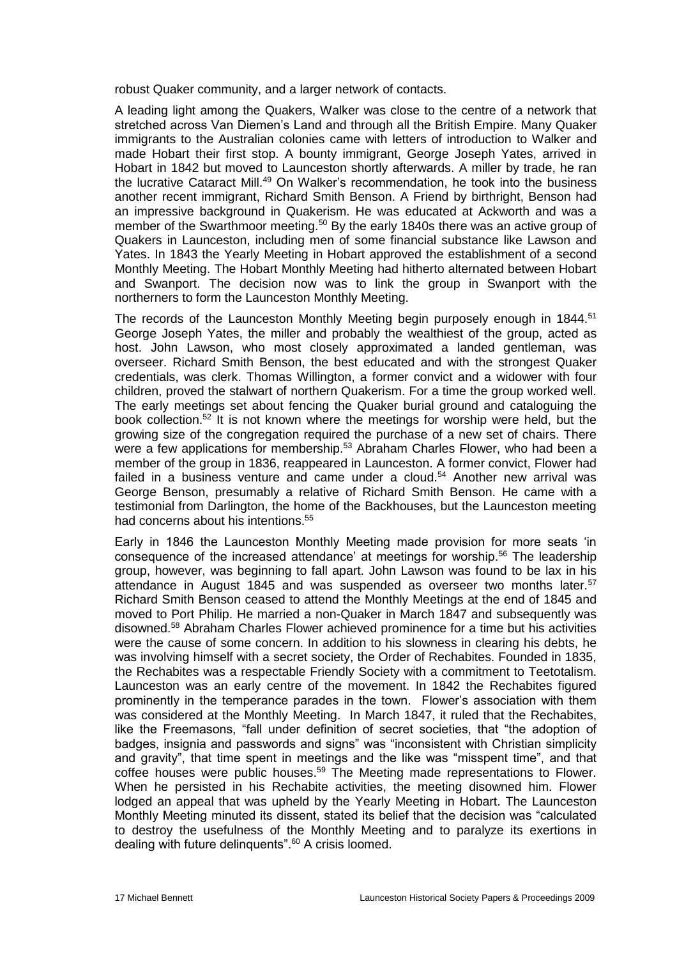robust Quaker community, and a larger network of contacts.

A leading light among the Quakers, Walker was close to the centre of a network that stretched across Van Diemen's Land and through all the British Empire. Many Quaker immigrants to the Australian colonies came with letters of introduction to Walker and made Hobart their first stop. A bounty immigrant, George Joseph Yates, arrived in Hobart in 1842 but moved to Launceston shortly afterwards. A miller by trade, he ran the lucrative Cataract Mill.<sup>49</sup> On Walker's recommendation, he took into the business another recent immigrant, Richard Smith Benson. A Friend by birthright, Benson had an impressive background in Quakerism. He was educated at Ackworth and was a member of the Swarthmoor meeting.<sup>50</sup> By the early 1840s there was an active group of Quakers in Launceston, including men of some financial substance like Lawson and Yates. In 1843 the Yearly Meeting in Hobart approved the establishment of a second Monthly Meeting. The Hobart Monthly Meeting had hitherto alternated between Hobart and Swanport. The decision now was to link the group in Swanport with the northerners to form the Launceston Monthly Meeting.

The records of the Launceston Monthly Meeting begin purposely enough in 1844.<sup>51</sup> George Joseph Yates, the miller and probably the wealthiest of the group, acted as host. John Lawson, who most closely approximated a landed gentleman, was overseer. Richard Smith Benson, the best educated and with the strongest Quaker credentials, was clerk. Thomas Willington, a former convict and a widower with four children, proved the stalwart of northern Quakerism. For a time the group worked well. The early meetings set about fencing the Quaker burial ground and cataloguing the book collection.<sup>52</sup> It is not known where the meetings for worship were held, but the growing size of the congregation required the purchase of a new set of chairs. There were a few applications for membership.<sup>53</sup> Abraham Charles Flower, who had been a member of the group in 1836, reappeared in Launceston. A former convict, Flower had failed in a business venture and came under a cloud.<sup>54</sup> Another new arrival was George Benson, presumably a relative of Richard Smith Benson. He came with a testimonial from Darlington, the home of the Backhouses, but the Launceston meeting had concerns about his intentions.<sup>55</sup>

Early in 1846 the Launceston Monthly Meeting made provision for more seats 'in consequence of the increased attendance' at meetings for worship.<sup>56</sup> The leadership group, however, was beginning to fall apart. John Lawson was found to be lax in his attendance in August 1845 and was suspended as overseer two months later.<sup>57</sup> Richard Smith Benson ceased to attend the Monthly Meetings at the end of 1845 and moved to Port Philip. He married a non-Quaker in March 1847 and subsequently was disowned.<sup>58</sup> Abraham Charles Flower achieved prominence for a time but his activities were the cause of some concern. In addition to his slowness in clearing his debts, he was involving himself with a secret society, the Order of Rechabites. Founded in 1835, the Rechabites was a respectable Friendly Society with a commitment to Teetotalism. Launceston was an early centre of the movement. In 1842 the Rechabites figured prominently in the temperance parades in the town. Flower's association with them was considered at the Monthly Meeting. In March 1847, it ruled that the Rechabites, like the Freemasons, "fall under definition of secret societies, that "the adoption of badges, insignia and passwords and signs" was "inconsistent with Christian simplicity and gravity", that time spent in meetings and the like was "misspent time", and that coffee houses were public houses.<sup>59</sup> The Meeting made representations to Flower. When he persisted in his Rechabite activities, the meeting disowned him. Flower lodged an appeal that was upheld by the Yearly Meeting in Hobart. The Launceston Monthly Meeting minuted its dissent, stated its belief that the decision was "calculated to destroy the usefulness of the Monthly Meeting and to paralyze its exertions in dealing with future delinquents".<sup>60</sup> A crisis loomed.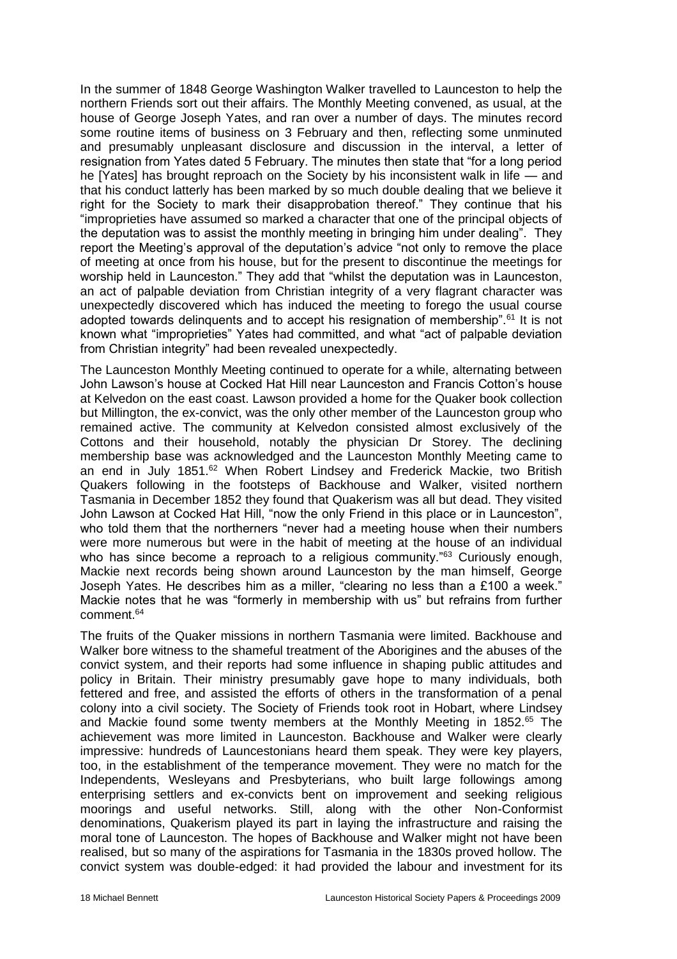In the summer of 1848 George Washington Walker travelled to Launceston to help the northern Friends sort out their affairs. The Monthly Meeting convened, as usual, at the house of George Joseph Yates, and ran over a number of days. The minutes record some routine items of business on 3 February and then, reflecting some unminuted and presumably unpleasant disclosure and discussion in the interval, a letter of resignation from Yates dated 5 February. The minutes then state that "for a long period he [Yates] has brought reproach on the Society by his inconsistent walk in life — and that his conduct latterly has been marked by so much double dealing that we believe it right for the Society to mark their disapprobation thereof." They continue that his "improprieties have assumed so marked a character that one of the principal objects of the deputation was to assist the monthly meeting in bringing him under dealing". They report the Meeting's approval of the deputation's advice "not only to remove the place of meeting at once from his house, but for the present to discontinue the meetings for worship held in Launceston." They add that "whilst the deputation was in Launceston, an act of palpable deviation from Christian integrity of a very flagrant character was unexpectedly discovered which has induced the meeting to forego the usual course adopted towards delinquents and to accept his resignation of membership".<sup>61</sup> It is not known what "improprieties" Yates had committed, and what "act of palpable deviation from Christian integrity" had been revealed unexpectedly.

The Launceston Monthly Meeting continued to operate for a while, alternating between John Lawson's house at Cocked Hat Hill near Launceston and Francis Cotton's house at Kelvedon on the east coast. Lawson provided a home for the Quaker book collection but Millington, the ex-convict, was the only other member of the Launceston group who remained active. The community at Kelvedon consisted almost exclusively of the Cottons and their household, notably the physician Dr Storey. The declining membership base was acknowledged and the Launceston Monthly Meeting came to an end in July 1851.<sup>62</sup> When Robert Lindsey and Frederick Mackie, two British Quakers following in the footsteps of Backhouse and Walker, visited northern Tasmania in December 1852 they found that Quakerism was all but dead. They visited John Lawson at Cocked Hat Hill, "now the only Friend in this place or in Launceston", who told them that the northerners "never had a meeting house when their numbers were more numerous but were in the habit of meeting at the house of an individual who has since become a reproach to a religious community."<sup>63</sup> Curiously enough, Mackie next records being shown around Launceston by the man himself, George Joseph Yates. He describes him as a miller, "clearing no less than a £100 a week." Mackie notes that he was "formerly in membership with us" but refrains from further comment.<sup>64</sup>

The fruits of the Quaker missions in northern Tasmania were limited. Backhouse and Walker bore witness to the shameful treatment of the Aborigines and the abuses of the convict system, and their reports had some influence in shaping public attitudes and policy in Britain. Their ministry presumably gave hope to many individuals, both fettered and free, and assisted the efforts of others in the transformation of a penal colony into a civil society. The Society of Friends took root in Hobart, where Lindsey and Mackie found some twenty members at the Monthly Meeting in 1852.<sup>65</sup> The achievement was more limited in Launceston. Backhouse and Walker were clearly impressive: hundreds of Launcestonians heard them speak. They were key players, too, in the establishment of the temperance movement. They were no match for the Independents, Wesleyans and Presbyterians, who built large followings among enterprising settlers and ex-convicts bent on improvement and seeking religious moorings and useful networks. Still, along with the other Non-Conformist denominations, Quakerism played its part in laying the infrastructure and raising the moral tone of Launceston. The hopes of Backhouse and Walker might not have been realised, but so many of the aspirations for Tasmania in the 1830s proved hollow. The convict system was double-edged: it had provided the labour and investment for its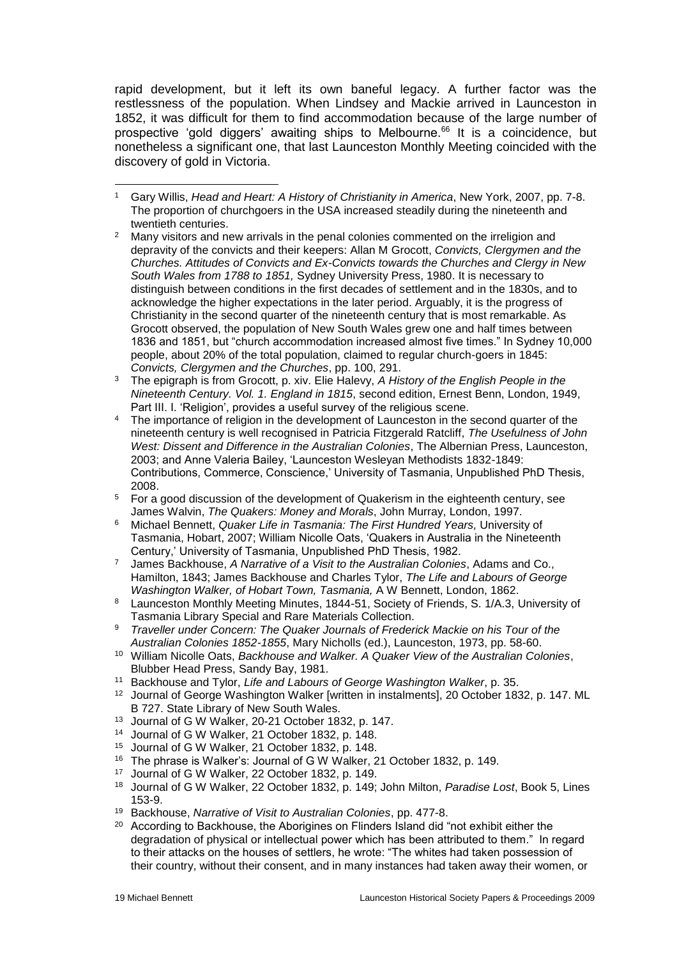rapid development, but it left its own baneful legacy. A further factor was the restlessness of the population. When Lindsey and Mackie arrived in Launceston in 1852, it was difficult for them to find accommodation because of the large number of prospective 'gold diggers' awaiting ships to Melbourne.<sup>66</sup> It is a coincidence, but nonetheless a significant one, that last Launceston Monthly Meeting coincided with the discovery of gold in Victoria.

- <sup>2</sup> Many visitors and new arrivals in the penal colonies commented on the irreligion and depravity of the convicts and their keepers: Allan M Grocott, *Convicts, Clergymen and the Churches. Attitudes of Convicts and Ex-Convicts towards the Churches and Clergy in New South Wales from 1788 to 1851,* Sydney University Press, 1980. It is necessary to distinguish between conditions in the first decades of settlement and in the 1830s, and to acknowledge the higher expectations in the later period. Arguably, it is the progress of Christianity in the second quarter of the nineteenth century that is most remarkable. As Grocott observed, the population of New South Wales grew one and half times between 1836 and 1851, but "church accommodation increased almost five times." In Sydney 10,000 people, about 20% of the total population, claimed to regular church-goers in 1845: *Convicts, Clergymen and the Churches*, pp. 100, 291.
- <sup>3</sup> The epigraph is from Grocott, p. xiv. Elie Halevy, *A History of the English People in the Nineteenth Century. Vol. 1. England in 1815*, second edition, Ernest Benn, London, 1949, Part III. I. 'Religion', provides a useful survey of the religious scene.
- <sup>4</sup> The importance of religion in the development of Launceston in the second quarter of the nineteenth century is well recognised in Patricia Fitzgerald Ratcliff, *The Usefulness of John West: Dissent and Difference in the Australian Colonies*, The Albernian Press, Launceston, 2003; and Anne Valeria Bailey, 'Launceston Wesleyan Methodists 1832-1849: Contributions, Commerce, Conscience,' University of Tasmania, Unpublished PhD Thesis, 2008.
- <sup>5</sup> For a good discussion of the development of Quakerism in the eighteenth century, see James Walvin, *The Quakers: Money and Morals*, John Murray, London, 1997.
- <sup>6</sup> Michael Bennett, *Quaker Life in Tasmania: The First Hundred Years,* University of Tasmania, Hobart, 2007; William Nicolle Oats, 'Quakers in Australia in the Nineteenth Century,' University of Tasmania, Unpublished PhD Thesis, 1982.
- <sup>7</sup> James Backhouse, *A Narrative of a Visit to the Australian Colonies*, Adams and Co., Hamilton, 1843; James Backhouse and Charles Tylor, *The Life and Labours of George Washington Walker, of Hobart Town, Tasmania,* A W Bennett, London, 1862.
- <sup>8</sup> Launceston Monthly Meeting Minutes, 1844-51, Society of Friends, S. 1/A.3, University of Tasmania Library Special and Rare Materials Collection.
- <sup>9</sup> *Traveller under Concern: The Quaker Journals of Frederick Mackie on his Tour of the Australian Colonies 1852-1855*, Mary Nicholls (ed.), Launceston, 1973, pp. 58-60.
- <sup>10</sup> William Nicolle Oats, *Backhouse and Walker. A Quaker View of the Australian Colonies*, Blubber Head Press, Sandy Bay, 1981.
- <sup>11</sup> Backhouse and Tylor, *Life and Labours of George Washington Walker*, p. 35.
- <sup>12</sup> Journal of George Washington Walker [written in instalments], 20 October 1832, p. 147. ML B 727. State Library of New South Wales.
- <sup>13</sup> Journal of G W Walker, 20-21 October 1832, p. 147.
- <sup>14</sup> Journal of G W Walker, 21 October 1832, p. 148.
- <sup>15</sup> Journal of G W Walker, 21 October 1832, p. 148.
- <sup>16</sup> The phrase is Walker's: Journal of G W Walker, 21 October 1832, p. 149.<br><sup>17</sup> Journal of G W Walker, 22 October 1832, p. 149.
- Journal of G W Walker, 22 October 1832, p. 149.
- <sup>18</sup> Journal of G W Walker, 22 October 1832, p. 149; John Milton, *Paradise Lost*, Book 5, Lines 153-9.
- <sup>19</sup> Backhouse, *Narrative of Visit to Australian Colonies*, pp. 477-8.
- <sup>20</sup> According to Backhouse, the Aborigines on Flinders Island did "not exhibit either the degradation of physical or intellectual power which has been attributed to them." In regard to their attacks on the houses of settlers, he wrote: "The whites had taken possession of their country, without their consent, and in many instances had taken away their women, or

<sup>-</sup><sup>1</sup> Gary Willis, *Head and Heart: A History of Christianity in America*, New York, 2007, pp. 7-8. The proportion of churchgoers in the USA increased steadily during the nineteenth and twentieth centuries.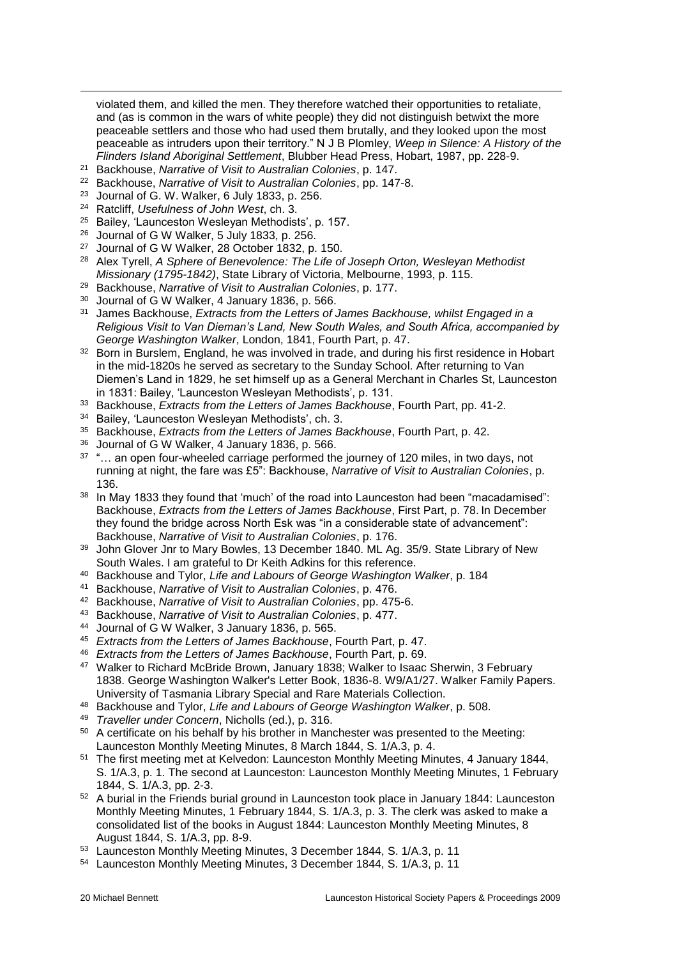violated them, and killed the men. They therefore watched their opportunities to retaliate, and (as is common in the wars of white people) they did not distinguish betwixt the more peaceable settlers and those who had used them brutally, and they looked upon the most peaceable as intruders upon their territory." N J B Plomley, *Weep in Silence: A History of the Flinders Island Aboriginal Settlement*, Blubber Head Press, Hobart, 1987, pp. 228-9.

- <sup>21</sup> Backhouse, *Narrative of Visit to Australian Colonies*, p. 147.
- <sup>22</sup> Backhouse, *Narrative of Visit to Australian Colonies*, pp. 147-8.
- <sup>23</sup> Journal of G. W. Walker, 6 July 1833, p. 256.
- <sup>24</sup> Ratcliff, *Usefulness of John West*, ch. 3.

 $\overline{a}$ 

- <sup>25</sup> Bailey, 'Launceston Wesleyan Methodists', p. 157.
- <sup>26</sup> Journal of G W Walker, 5 July 1833, p. 256.
- <sup>27</sup> Journal of G W Walker, 28 October 1832, p. 150.
- <sup>28</sup> Alex Tyrell, *A Sphere of Benevolence: The Life of Joseph Orton, Wesleyan Methodist Missionary (1795-1842)*, State Library of Victoria, Melbourne, 1993, p. 115.
- <sup>29</sup> Backhouse, *Narrative of Visit to Australian Colonies*, p. 177.
- <sup>30</sup> Journal of G W Walker, 4 January 1836, p. 566.
- <sup>31</sup> James Backhouse, *Extracts from the Letters of James Backhouse, whilst Engaged in a Religious Visit to Van Dieman's Land, New South Wales, and South Africa, accompanied by George Washington Walker*, London, 1841, Fourth Part, p. 47.
- <sup>32</sup> Born in Burslem, England, he was involved in trade, and during his first residence in Hobart in the mid-1820s he served as secretary to the Sunday School. After returning to Van Diemen's Land in 1829, he set himself up as a General Merchant in Charles St, Launceston in 1831: Bailey, 'Launceston Wesleyan Methodists', p. 131.
- <sup>33</sup> Backhouse, *Extracts from the Letters of James Backhouse*, Fourth Part, pp. 41-2.
- <sup>34</sup> Bailey, 'Launceston Wesleyan Methodists', ch. 3.
- <sup>35</sup> Backhouse, *Extracts from the Letters of James Backhouse*, Fourth Part, p. 42.
- <sup>36</sup> Journal of G W Walker, 4 January 1836, p. 566.
- <sup>37</sup> "... an open four-wheeled carriage performed the journey of 120 miles, in two days, not running at night, the fare was £5": Backhouse, *Narrative of Visit to Australian Colonies*, p. 136.
- <sup>38</sup> In May 1833 they found that 'much' of the road into Launceston had been "macadamised": Backhouse, *Extracts from the Letters of James Backhouse*, First Part, p. 78. In December they found the bridge across North Esk was "in a considerable state of advancement": Backhouse, *Narrative of Visit to Australian Colonies*, p. 176.
- <sup>39</sup> John Glover Jnr to Mary Bowles, 13 December 1840. ML Ag. 35/9. State Library of New South Wales. I am grateful to Dr Keith Adkins for this reference.
- <sup>40</sup> Backhouse and Tylor, *Life and Labours of George Washington Walker*, p. 184
- <sup>41</sup> Backhouse, *Narrative of Visit to Australian Colonies*, p. 476.
- <sup>42</sup> Backhouse, *Narrative of Visit to Australian Colonies*, pp. 475-6.
- <sup>43</sup> Backhouse, *Narrative of Visit to Australian Colonies*, p. 477.
- <sup>44</sup> Journal of G W Walker, 3 January 1836, p. 565.
- <sup>45</sup> *Extracts from the Letters of James Backhouse*, Fourth Part, p. 47.
- <sup>46</sup> *Extracts from the Letters of James Backhouse*, Fourth Part, p. 69.
- <sup>47</sup> Walker to Richard McBride Brown, January 1838; Walker to Isaac Sherwin, 3 February 1838. George Washington Walker's Letter Book, 1836-8. W9/A1/27. Walker Family Papers. University of Tasmania Library Special and Rare Materials Collection.
- <sup>48</sup> Backhouse and Tylor, *Life and Labours of George Washington Walker*, p. 508.
- <sup>49</sup> *Traveller under Concern*, Nicholls (ed.), p. 316.
- <sup>50</sup> A certificate on his behalf by his brother in Manchester was presented to the Meeting: Launceston Monthly Meeting Minutes, 8 March 1844, S. 1/A.3, p. 4.
- <sup>51</sup> The first meeting met at Kelvedon: Launceston Monthly Meeting Minutes, 4 January 1844, S. 1/A.3, p. 1. The second at Launceston: Launceston Monthly Meeting Minutes, 1 February 1844, S. 1/A.3, pp. 2-3.
- <sup>52</sup> A burial in the Friends burial ground in Launceston took place in January 1844: Launceston Monthly Meeting Minutes, 1 February 1844, S. 1/A.3, p. 3. The clerk was asked to make a consolidated list of the books in August 1844: Launceston Monthly Meeting Minutes, 8 August 1844, S. 1/A.3, pp. 8-9.
- <sup>53</sup> Launceston Monthly Meeting Minutes, 3 December 1844, S. 1/A.3, p. 11
- <sup>54</sup> Launceston Monthly Meeting Minutes, 3 December 1844, S. 1/A.3, p. 11